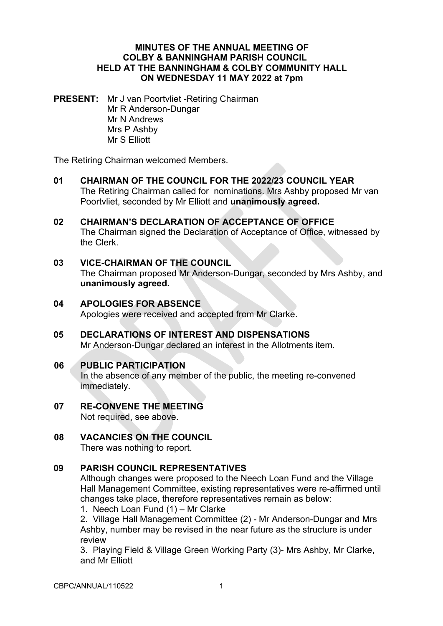#### **MINUTES OF THE ANNUAL MEETING OF COLBY & BANNINGHAM PARISH COUNCIL HELD AT THE BANNINGHAM & COLBY COMMUNITY HALL ON WEDNESDAY 11 MAY 2022 at 7pm**

**PRESENT:** Mr J van Poortvliet -Retiring Chairman Mr R Anderson-Dungar Mr N Andrews Mrs P Ashby Mr S Elliott

The Retiring Chairman welcomed Members.

- **01 CHAIRMAN OF THE COUNCIL FOR THE 2022/23 COUNCIL YEAR** The Retiring Chairman called for nominations. Mrs Ashby proposed Mr van Poortvliet, seconded by Mr Elliott and **unanimously agreed.**
- **02 CHAIRMAN'S DECLARATION OF ACCEPTANCE OF OFFICE** The Chairman signed the Declaration of Acceptance of Office, witnessed by the Clerk.
- **03 VICE-CHAIRMAN OF THE COUNCIL** The Chairman proposed Mr Anderson-Dungar, seconded by Mrs Ashby, and **unanimously agreed.**
- **04 APOLOGIES FOR ABSENCE**  Apologies were received and accepted from Mr Clarke.
- **05 DECLARATIONS OF INTEREST AND DISPENSATIONS** Mr Anderson-Dungar declared an interest in the Allotments item.

# **06 PUBLIC PARTICIPATION**

In the absence of any member of the public, the meeting re-convened immediately.

- **07 RE-CONVENE THE MEETING** Not required, see above.
- **08 VACANCIES ON THE COUNCIL** There was nothing to report.

### **09 PARISH COUNCIL REPRESENTATIVES**

Although changes were proposed to the Neech Loan Fund and the Village Hall Management Committee, existing representatives were re-affirmed until changes take place, therefore representatives remain as below:

1. Neech Loan Fund (1) – Mr Clarke

2. Village Hall Management Committee (2) - Mr Anderson-Dungar and Mrs Ashby, number may be revised in the near future as the structure is under review

3. Playing Field & Village Green Working Party (3)- Mrs Ashby, Mr Clarke, and Mr Elliott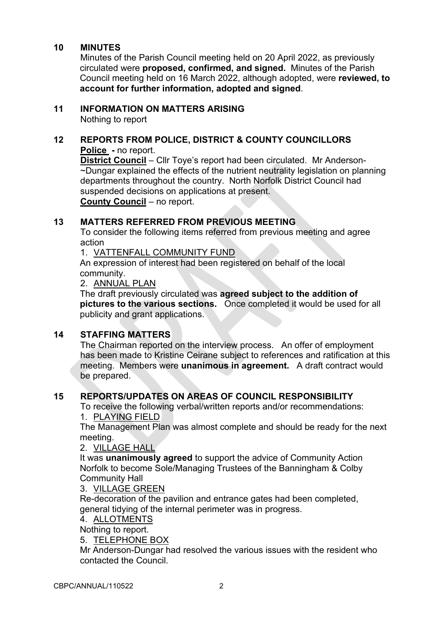#### **10 MINUTES**

Minutes of the Parish Council meeting held on 20 April 2022, as previously circulated were **proposed, confirmed, and signed.** Minutes of the Parish Council meeting held on 16 March 2022, although adopted, were **reviewed, to account for further information, adopted and signed**.

#### **11 INFORMATION ON MATTERS ARISING**

Nothing to report

# **12 REPORTS FROM POLICE, DISTRICT & COUNTY COUNCILLORS**

**Police -** no report.

**District Council** – Cllr Toye's report had been circulated. Mr Anderson- ~Dungar explained the effects of the nutrient neutrality legislation on planning departments throughout the country. North Norfolk District Council had suspended decisions on applications at present.

**County Council** – no report.

### **13 MATTERS REFERRED FROM PREVIOUS MEETING**

To consider the following items referred from previous meeting and agree action

1. VATTENFALL COMMUNITY FUND

An expression of interest had been registered on behalf of the local community.

2. ANNUAL PLAN

The draft previously circulated was **agreed subject to the addition of pictures to the various sections.** Once completed it would be used for all publicity and grant applications.

# **14 STAFFING MATTERS**

The Chairman reported on the interview process. An offer of employment has been made to Kristine Ceirane subject to references and ratification at this meeting. Members were **unanimous in agreement.** A draft contract would be prepared.

# **15 REPORTS/UPDATES ON AREAS OF COUNCIL RESPONSIBILITY**

To receive the following verbal/written reports and/or recommendations: 1. PLAYING FIELD

The Management Plan was almost complete and should be ready for the next meeting.

2. VILLAGE HALL

It was **unanimously agreed** to support the advice of Community Action Norfolk to become Sole/Managing Trustees of the Banningham & Colby Community Hall

#### 3. VILLAGE GREEN

Re-decoration of the pavilion and entrance gates had been completed, general tidying of the internal perimeter was in progress.

#### 4. ALLOTMENTS

Nothing to report.

5. TELEPHONE BOX

Mr Anderson-Dungar had resolved the various issues with the resident who contacted the Council.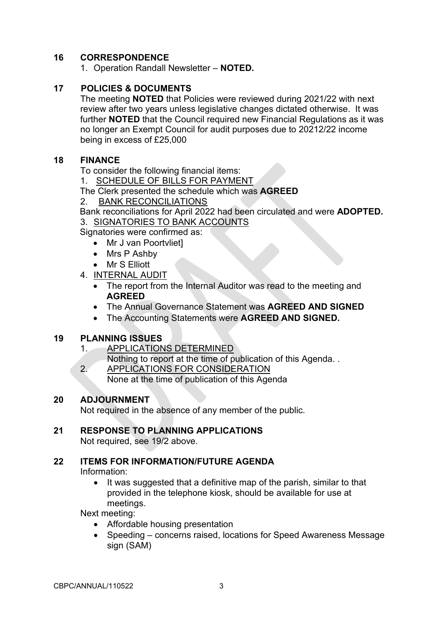# **16 CORRESPONDENCE**

1. Operation Randall Newsletter – **NOTED.** 

### **17 POLICIES & DOCUMENTS**

The meeting **NOTED** that Policies were reviewed during 2021/22 with next review after two years unless legislative changes dictated otherwise. It was further **NOTED** that the Council required new Financial Regulations as it was no longer an Exempt Council for audit purposes due to 20212/22 income being in excess of £25,000

#### **18 FINANCE**

To consider the following financial items:

1. SCHEDULE OF BILLS FOR PAYMENT

The Clerk presented the schedule which was **AGREED**

2. BANK RECONCILIATIONS

Bank reconciliations for April 2022 had been circulated and were **ADOPTED.**  3. SIGNATORIES TO BANK ACCOUNTS

Signatories were confirmed as:

- Mr J van Poortvliet]
	- Mrs P Ashby
	- Mr S Elliott
- 4. INTERNAL AUDIT
	- The report from the Internal Auditor was read to the meeting and **AGREED**
	- The Annual Governance Statement was **AGREED AND SIGNED**
	- The Accounting Statements were **AGREED AND SIGNED.**

#### **19 PLANNING ISSUES**

1. APPLICATIONS DETERMINED

Nothing to report at the time of publication of this Agenda. .

2. APPLICATIONS FOR CONSIDERATION None at the time of publication of this Agenda

#### **20 ADJOURNMENT**

Not required in the absence of any member of the public.

#### **21 RESPONSE TO PLANNING APPLICATIONS**

Not required, see 19/2 above.

#### **22 ITEMS FOR INFORMATION/FUTURE AGENDA**

Information:

• It was suggested that a definitive map of the parish, similar to that provided in the telephone kiosk, should be available for use at meetings.

Next meeting:

- Affordable housing presentation
- Speeding concerns raised, locations for Speed Awareness Message sign (SAM)